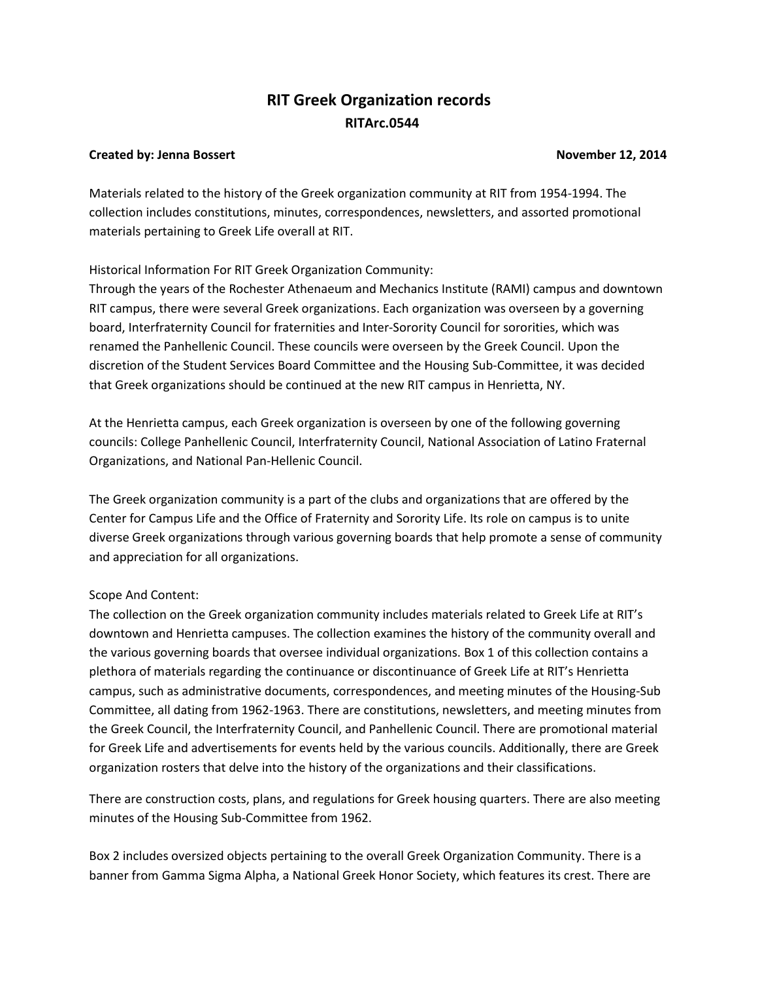# **RIT Greek Organization records RITArc.0544**

#### **Created by: Jenna Bossert November 12, 2014**

Materials related to the history of the Greek organization community at RIT from 1954-1994. The collection includes constitutions, minutes, correspondences, newsletters, and assorted promotional materials pertaining to Greek Life overall at RIT.

#### Historical Information For RIT Greek Organization Community:

Through the years of the Rochester Athenaeum and Mechanics Institute (RAMI) campus and downtown RIT campus, there were several Greek organizations. Each organization was overseen by a governing board, Interfraternity Council for fraternities and Inter-Sorority Council for sororities, which was renamed the Panhellenic Council. These councils were overseen by the Greek Council. Upon the discretion of the Student Services Board Committee and the Housing Sub-Committee, it was decided that Greek organizations should be continued at the new RIT campus in Henrietta, NY.

At the Henrietta campus, each Greek organization is overseen by one of the following governing councils: College Panhellenic Council, Interfraternity Council, National Association of Latino Fraternal Organizations, and National Pan-Hellenic Council.

The Greek organization community is a part of the clubs and organizations that are offered by the Center for Campus Life and the Office of Fraternity and Sorority Life. Its role on campus is to unite diverse Greek organizations through various governing boards that help promote a sense of community and appreciation for all organizations.

### Scope And Content:

The collection on the Greek organization community includes materials related to Greek Life at RIT's downtown and Henrietta campuses. The collection examines the history of the community overall and the various governing boards that oversee individual organizations. Box 1 of this collection contains a plethora of materials regarding the continuance or discontinuance of Greek Life at RIT's Henrietta campus, such as administrative documents, correspondences, and meeting minutes of the Housing-Sub Committee, all dating from 1962-1963. There are constitutions, newsletters, and meeting minutes from the Greek Council, the Interfraternity Council, and Panhellenic Council. There are promotional material for Greek Life and advertisements for events held by the various councils. Additionally, there are Greek organization rosters that delve into the history of the organizations and their classifications.

There are construction costs, plans, and regulations for Greek housing quarters. There are also meeting minutes of the Housing Sub-Committee from 1962.

Box 2 includes oversized objects pertaining to the overall Greek Organization Community. There is a banner from Gamma Sigma Alpha, a National Greek Honor Society, which features its crest. There are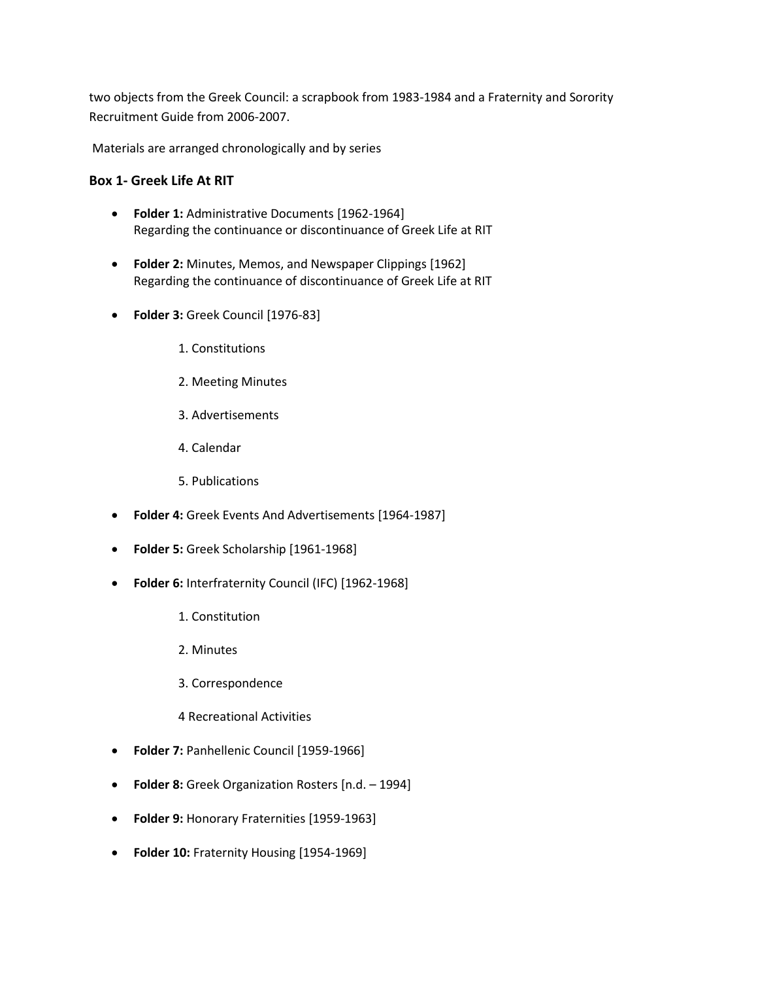two objects from the Greek Council: a scrapbook from 1983-1984 and a Fraternity and Sorority Recruitment Guide from 2006-2007.

Materials are arranged chronologically and by series

#### **Box 1- Greek Life At RIT**

- **Folder 1:** Administrative Documents [1962-1964] Regarding the continuance or discontinuance of Greek Life at RIT
- **Folder 2:** Minutes, Memos, and Newspaper Clippings [1962] Regarding the continuance of discontinuance of Greek Life at RIT
- **Folder 3:** Greek Council [1976-83]
	- 1. Constitutions
	- 2. Meeting Minutes
	- 3. Advertisements
	- 4. Calendar
	- 5. Publications
- **Folder 4:** Greek Events And Advertisements [1964-1987]
- **Folder 5:** Greek Scholarship [1961-1968]
- **Folder 6:** Interfraternity Council (IFC) [1962-1968]
	- 1. Constitution
	- 2. Minutes
	- 3. Correspondence
	- 4 Recreational Activities
- **Folder 7:** Panhellenic Council [1959-1966]
- **Folder 8:** Greek Organization Rosters [n.d. 1994]
- **Folder 9:** Honorary Fraternities [1959-1963]
- **Folder 10:** Fraternity Housing [1954-1969]